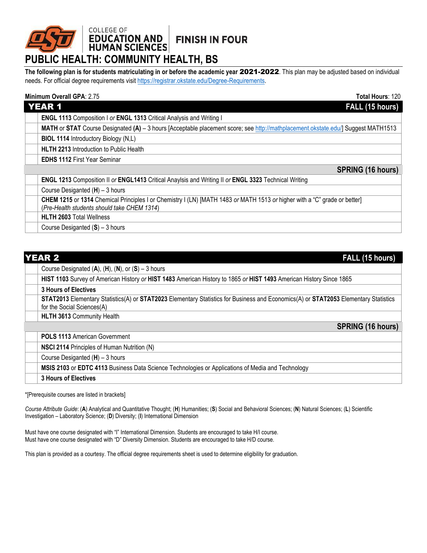## **FINISH IN FOUR**

# COLLEGE OF<br>**EDUCATION AND**<br>HUMAN SCIENCES **PUBLIC HEALTH: COMMUNITY HEALTH, BS**

**The following plan is for students matriculating in or before the academic year** 2021-2022. This plan may be adjusted based on individual needs. For official degree requirements visit [https://registrar.okstate.edu/Degree-Requirements.](https://registrar.okstate.edu/Degree-Requirements)

### **Minimum Overall GPA**: 2.75 **Total Hours**: 120

| <b>YEAR 1</b><br>FALL (15 hours)               |                                                                                                                                   |  |
|------------------------------------------------|-----------------------------------------------------------------------------------------------------------------------------------|--|
|                                                | ENGL 1113 Composition I or ENGL 1313 Critical Analysis and Writing I                                                              |  |
|                                                | MATH or STAT Course Designated (A) - 3 hours [Acceptable placement score; see http://mathplacement.okstate.edu/] Suggest MATH1513 |  |
| <b>BIOL 1114 Introductory Biology (N,L)</b>    |                                                                                                                                   |  |
| <b>HLTH 2213</b> Introduction to Public Health |                                                                                                                                   |  |
| <b>EDHS 1112 First Year Seminar</b>            |                                                                                                                                   |  |
|                                                | <b>SPRING (16 hours)</b>                                                                                                          |  |
|                                                | ENGL 1213 Composition II or ENGL1413 Critical Anaylsis and Writing II or ENGL 3323 Technical Writing                              |  |
| Course Desiganted $(H)$ – 3 hours              |                                                                                                                                   |  |
|                                                | CHEM 1215 or 1314 Chemical Principles I or Chemistry I (LN) [MATH 1483 or MATH 1513 or higher with a "C" grade or better]         |  |
| (Pre-Health students should take CHEM 1314)    |                                                                                                                                   |  |
| <b>HLTH 2603 Total Wellness</b>                |                                                                                                                                   |  |
| Course Desiganted $(S)$ – 3 hours              |                                                                                                                                   |  |

| <b>YEAR 2</b><br>FALL (15 hours)                                                                                                                                  |  |  |
|-------------------------------------------------------------------------------------------------------------------------------------------------------------------|--|--|
| Course Designated $(A)$ , $(H)$ , $(N)$ , or $(S)$ – 3 hours                                                                                                      |  |  |
| HIST 1103 Survey of American History or HIST 1483 American History to 1865 or HIST 1493 American History Since 1865                                               |  |  |
| <b>3 Hours of Electives</b>                                                                                                                                       |  |  |
| STAT2013 Elementary Statistics(A) or STAT2023 Elementary Statistics for Business and Economics(A) or STAT2053 Elementary Statistics<br>for the Social Sciences(A) |  |  |
| <b>HLTH 3613 Community Health</b>                                                                                                                                 |  |  |
| <b>SPRING (16 hours)</b>                                                                                                                                          |  |  |
| <b>POLS 1113 American Government</b>                                                                                                                              |  |  |
| NSCI 2114 Principles of Human Nutrition (N)                                                                                                                       |  |  |
| Course Desiganted $(H)$ – 3 hours                                                                                                                                 |  |  |
| MSIS 2103 or EDTC 4113 Business Data Science Technologies or Applications of Media and Technology                                                                 |  |  |
| <b>3 Hours of Electives</b>                                                                                                                                       |  |  |

\*[Prerequisite courses are listed in brackets]

*Course Attribute Guide*: (**A**) Analytical and Quantitative Thought; (**H**) Humanities; (**S**) Social and Behavioral Sciences; (**N**) Natural Sciences; (**L**) Scientific Investigation – Laboratory Science; (**D**) Diversity; (**I**) International Dimension

Must have one course designated with "I" International Dimension. Students are encouraged to take H/I course. Must have one course designated with "D" Diversity Dimension. Students are encouraged to take H/D course.

This plan is provided as a courtesy. The official degree requirements sheet is used to determine eligibility for graduation.